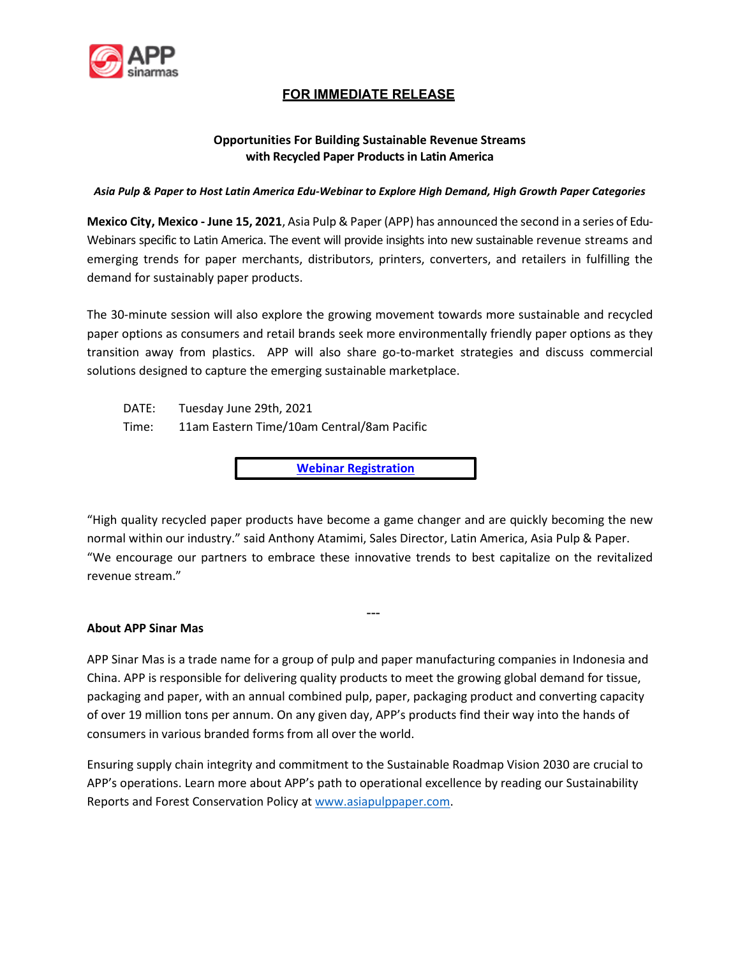

# **FOR IMMEDIATE RELEASE**

## **Opportunities For Building Sustainable Revenue Streams with Recycled Paper Products in Latin America**

*Asia Pulp & Paper to Host Latin America Edu-Webinar to Explore High Demand, High Growth Paper Categories* 

**Mexico City, Mexico - June 15, 2021**, Asia Pulp & Paper (APP) has announced the second in a series of Edu-Webinars specific to Latin America. The event will provide insights into new sustainable revenue streams and emerging trends for paper merchants, distributors, printers, converters, and retailers in fulfilling the demand for sustainably paper products.

The 30-minute session will also explore the growing movement towards more sustainable and recycled paper options as consumers and retail brands seek more environmentally friendly paper options as they transition away from plastics. APP will also share go-to-market strategies and discuss commercial solutions designed to capture the emerging sustainable marketplace.

DATE: Tuesday June 29th, 2021 Time: 11am Eastern Time/10am Central/8am Pacific

**[Webinar Registration](https://us02web.zoom.us/webinar/register/WN_uch4yDyOSdCRXFUXUbpx5g)**

"High quality recycled paper products have become a game changer and are quickly becoming the new normal within our industry." said Anthony Atamimi, Sales Director, Latin America, Asia Pulp & Paper. "We encourage our partners to embrace these innovative trends to best capitalize on the revitalized revenue stream."

---

#### **About APP Sinar Mas**

APP Sinar Mas is a trade name for a group of pulp and paper manufacturing companies in Indonesia and China. APP is responsible for delivering quality products to meet the growing global demand for tissue, packaging and paper, with an annual combined pulp, paper, packaging product and converting capacity of over 19 million tons per annum. On any given day, APP's products find their way into the hands of consumers in various branded forms from all over the world.

Ensuring supply chain integrity and commitment to the Sustainable Roadmap Vision 2030 are crucial to APP's operations. Learn more about APP's path to operational excellence by reading our Sustainability Reports and Forest Conservation Policy at [www.asiapulppaper.com.](http://www.asiapulppaper.com/)